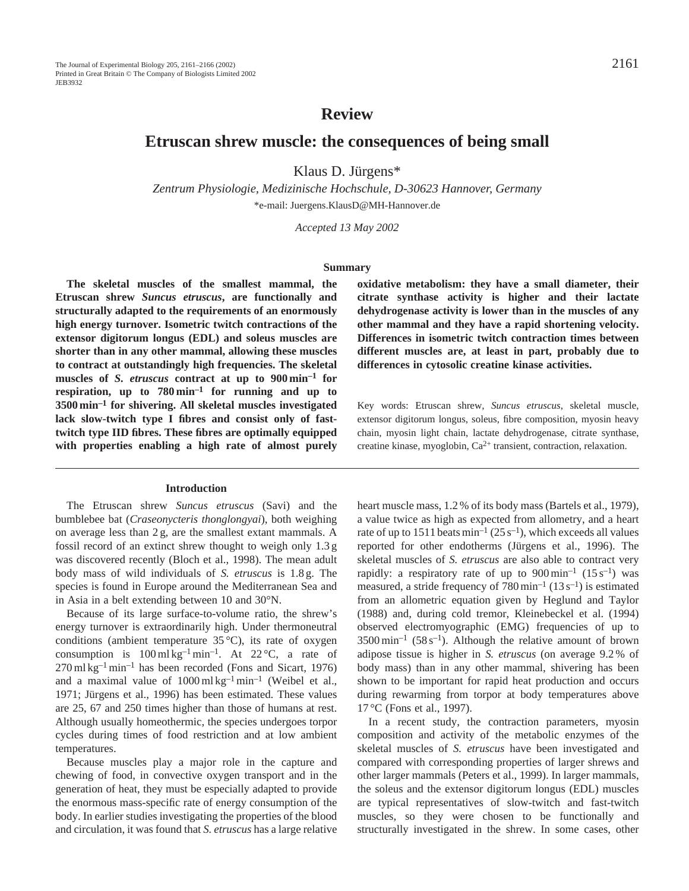# **Review**

# **Etruscan shrew muscle: the consequences of being small**

Klaus D. Jürgens\*

*Zentrum Physiologie, Medizinische Hochschule, D-30623 Hannover, Germany* \*e-mail: Juergens.KlausD@MH-Hannover.de

*Accepted 13 May 2002*

#### **Summary**

**The skeletal muscles of the smallest mammal, the Etruscan shrew** *Suncus etruscus***, are functionally and structurally adapted to the requirements of an enormously high energy turnover. Isometric twitch contractions of the extensor digitorum longus (EDL) and soleus muscles are shorter than in any other mammal, allowing these muscles to contract at outstandingly high frequencies. The skeletal muscles of** *S. etruscus* **contract at up to 900 min–1 for respiration, up to 780 min–1 for running and up to 3500 min–1 for shivering. All skeletal muscles investigated lack slow-twitch type I fibres and consist only of fasttwitch type IID fibres. These fibres are optimally equipped with properties enabling a high rate of almost purely**

# **Introduction**

The Etruscan shrew *Suncus etruscus* (Savi) and the bumblebee bat (*Craseonycteris thonglongyai*), both weighing on average less than 2 g, are the smallest extant mammals. A fossil record of an extinct shrew thought to weigh only 1.3 g was discovered recently (Bloch et al., 1998). The mean adult body mass of wild individuals of *S. etruscus* is 1.8 g. The species is found in Europe around the Mediterranean Sea and in Asia in a belt extending between 10 and 30°N.

Because of its large surface-to-volume ratio, the shrew's energy turnover is extraordinarily high. Under thermoneutral conditions (ambient temperature 35 °C), its rate of oxygen consumption is  $100 \text{ ml kg}^{-1} \text{ min}^{-1}$ . At  $22 \text{ °C}$ , a rate of  $270 \,\mathrm{ml\,kg^{-1}\,min^{-1}}$  has been recorded (Fons and Sicart, 1976) and a maximal value of  $1000 \text{ ml kg}^{-1} \text{ min}^{-1}$  (Weibel et al., 1971; Jürgens et al., 1996) has been estimated. These values are 25, 67 and 250 times higher than those of humans at rest. Although usually homeothermic, the species undergoes torpor cycles during times of food restriction and at low ambient temperatures.

Because muscles play a major role in the capture and chewing of food, in convective oxygen transport and in the generation of heat, they must be especially adapted to provide the enormous mass-specific rate of energy consumption of the body. In earlier studies investigating the properties of the blood and circulation, it was found that *S. etruscus* has a large relative **oxidative metabolism: they have a small diameter, their citrate synthase activity is higher and their lactate dehydrogenase activity is lower than in the muscles of any other mammal and they have a rapid shortening velocity. Differences in isometric twitch contraction times between different muscles are, at least in part, probably due to differences in cytosolic creatine kinase activities.**

Key words: Etruscan shrew, *Suncus etruscus*, skeletal muscle, extensor digitorum longus, soleus, fibre composition, myosin heavy chain, myosin light chain, lactate dehydrogenase, citrate synthase, creatine kinase, myoglobin, Ca2+ transient, contraction, relaxation.

heart muscle mass, 1.2 % of its body mass (Bartels et al., 1979), a value twice as high as expected from allometry, and a heart rate of up to 1511 beats min<sup>-1</sup> (25 s<sup>-1</sup>), which exceeds all values reported for other endotherms (Jürgens et al., 1996). The skeletal muscles of *S. etruscus* are also able to contract very rapidly: a respiratory rate of up to  $900 \text{ min}^{-1}$  (15 s<sup>-1</sup>) was measured, a stride frequency of  $780 \,\mathrm{min}^{-1}$  (13 s<sup>-1</sup>) is estimated from an allometric equation given by Heglund and Taylor (1988) and, during cold tremor, Kleinebeckel et al. (1994) observed electromyographic (EMG) frequencies of up to  $3500 \,\mathrm{min}^{-1}$  (58 s<sup>-1</sup>). Although the relative amount of brown adipose tissue is higher in *S. etruscus* (on average 9.2 % of body mass) than in any other mammal, shivering has been shown to be important for rapid heat production and occurs during rewarming from torpor at body temperatures above 17 °C (Fons et al., 1997).

In a recent study, the contraction parameters, myosin composition and activity of the metabolic enzymes of the skeletal muscles of *S. etruscus* have been investigated and compared with corresponding properties of larger shrews and other larger mammals (Peters et al., 1999). In larger mammals, the soleus and the extensor digitorum longus (EDL) muscles are typical representatives of slow-twitch and fast-twitch muscles, so they were chosen to be functionally and structurally investigated in the shrew. In some cases, other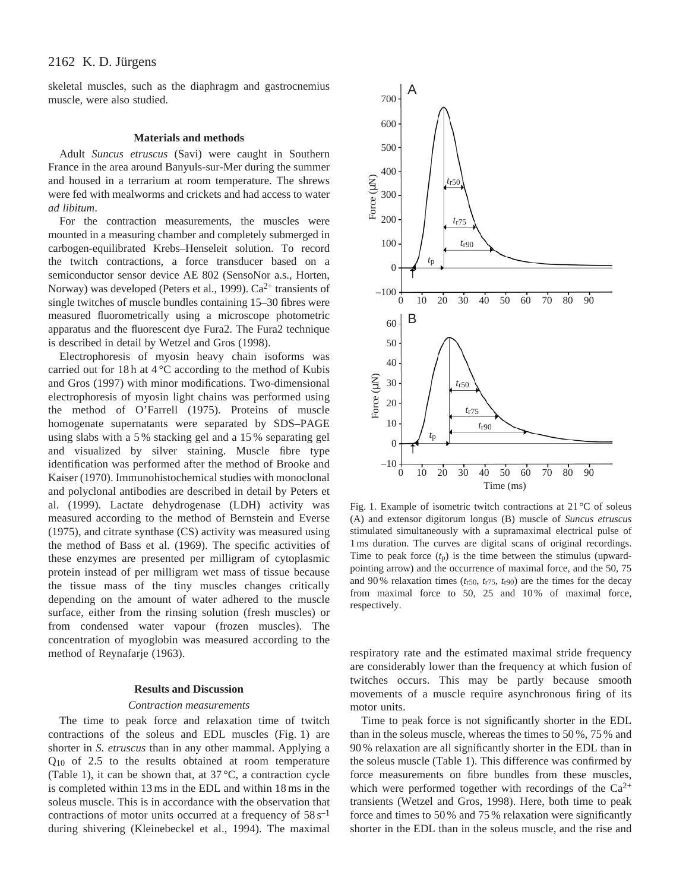# 2162 K. D. Jürgens

skeletal muscles, such as the diaphragm and gastrocnemius muscle, were also studied.

## **Materials and methods**

Adult *Suncus etruscus* (Savi) were caught in Southern France in the area around Banyuls-sur-Mer during the summer and housed in a terrarium at room temperature. The shrews were fed with mealworms and crickets and had access to water *ad libitum*.

For the contraction measurements, the muscles were mounted in a measuring chamber and completely submerged in carbogen-equilibrated Krebs–Henseleit solution. To record the twitch contractions, a force transducer based on a semiconductor sensor device AE 802 (SensoNor a.s., Horten, Norway) was developed (Peters et al., 1999).  $Ca^{2+}$  transients of single twitches of muscle bundles containing 15–30 fibres were measured fluorometrically using a microscope photometric apparatus and the fluorescent dye Fura2. The Fura2 technique is described in detail by Wetzel and Gros (1998).

Electrophoresis of myosin heavy chain isoforms was carried out for 18 h at 4 °C according to the method of Kubis and Gros (1997) with minor modifications. Two-dimensional electrophoresis of myosin light chains was performed using the method of O'Farrell (1975). Proteins of muscle homogenate supernatants were separated by SDS–PAGE using slabs with a 5 % stacking gel and a 15 % separating gel and visualized by silver staining. Muscle fibre type identification was performed after the method of Brooke and Kaiser (1970). Immunohistochemical studies with monoclonal and polyclonal antibodies are described in detail by Peters et al. (1999). Lactate dehydrogenase (LDH) activity was measured according to the method of Bernstein and Everse (1975), and citrate synthase (CS) activity was measured using the method of Bass et al. (1969). The specific activities of these enzymes are presented per milligram of cytoplasmic protein instead of per milligram wet mass of tissue because the tissue mass of the tiny muscles changes critically depending on the amount of water adhered to the muscle surface, either from the rinsing solution (fresh muscles) or from condensed water vapour (frozen muscles). The concentration of myoglobin was measured according to the method of Reynafarje (1963).

## **Results and Discussion**

# *Contraction measurements*

The time to peak force and relaxation time of twitch contractions of the soleus and EDL muscles (Fig. 1) are shorter in *S. etruscus* than in any other mammal. Applying a Q10 of 2.5 to the results obtained at room temperature (Table 1), it can be shown that, at  $37^{\circ}$ C, a contraction cycle is completed within 13 ms in the EDL and within 18 ms in the soleus muscle. This is in accordance with the observation that contractions of motor units occurred at a frequency of  $58 \text{ s}^{-1}$ during shivering (Kleinebeckel et al., 1994). The maximal



Fig. 1. Example of isometric twitch contractions at 21 °C of soleus (A) and extensor digitorum longus (B) muscle of *Suncus etruscus* stimulated simultaneously with a supramaximal electrical pulse of 1 ms duration. The curves are digital scans of original recordings. Time to peak force (*t*p) is the time between the stimulus (upwardpointing arrow) and the occurrence of maximal force, and the 50, 75 and 90% relaxation times  $(t_{r50}, t_{r75}, t_{r90})$  are the times for the decay from maximal force to 50, 25 and 10 % of maximal force, respectively.

respiratory rate and the estimated maximal stride frequency are considerably lower than the frequency at which fusion of twitches occurs. This may be partly because smooth movements of a muscle require asynchronous firing of its motor units.

Time to peak force is not significantly shorter in the EDL than in the soleus muscle, whereas the times to 50 %, 75 % and 90 % relaxation are all significantly shorter in the EDL than in the soleus muscle (Table 1). This difference was confirmed by force measurements on fibre bundles from these muscles, which were performed together with recordings of the  $Ca^{2+}$ transients (Wetzel and Gros, 1998). Here, both time to peak force and times to 50 % and 75 % relaxation were significantly shorter in the EDL than in the soleus muscle, and the rise and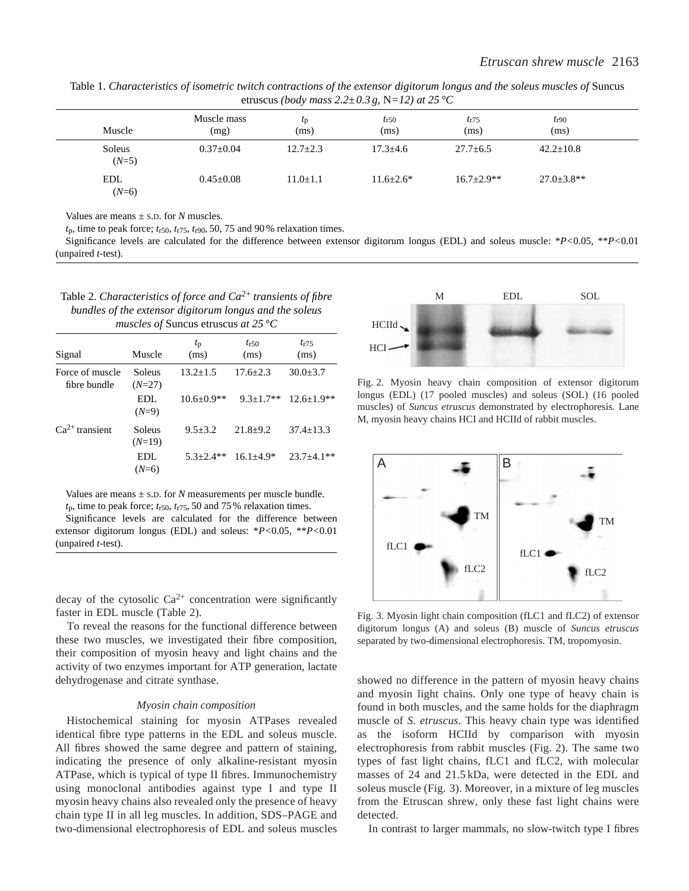| cuascus (bouy mass 2.2 $\pm$ 0.0 g, $\pm$ 12) at 25 °C |                     |                     |                   |                   |                   |  |
|--------------------------------------------------------|---------------------|---------------------|-------------------|-------------------|-------------------|--|
| Muscle                                                 | Muscle mass<br>(mg) | $\iota_{D}$<br>(ms) | $t_{r50}$<br>(ms) | $t_{r75}$<br>(ms) | $t_{r90}$<br>(ms) |  |
| Soleus<br>$(N=5)$                                      | $0.37+0.04$         | $12.7 + 2.3$        | $17.3 + 4.6$      | $27.7 + 6.5$      | $42.2 + 10.8$     |  |
| <b>EDL</b><br>$(N=6)$                                  | $0.45 + 0.08$       | $11.0+1.1$          | $11.6 + 2.6*$     | $16.7+2.9**$      | $27.0 + 3.8$ **   |  |

Table 1. *Characteristics of isometric twitch contractions of the extensor digitorum longus and the soleus muscles of* Suncus etruscus *(body mass 2.2±0.3 g,* N*=12) at 25 °C*

Values are means  $\pm$  s.D. for *N* muscles.

 $t_p$ , time to peak force;  $t_{r50}$ ,  $t_{r75}$ ,  $t_{r90}$ , 50, 75 and 90 % relaxation times.

Significance levels are calculated for the difference between extensor digitorum longus (EDL) and soleus muscle: \**P<*0.05, \*\**P<*0.01 (unpaired *t*-test).

| Table 2. Characteristics of force and $Ca^{2+}$ transients of fibre |
|---------------------------------------------------------------------|
| bundles of the extensor digitorum longus and the soleus             |
| <i>muscles of Suncus etruscus at 25 °C</i>                          |

| Muscle             | $t_{\rm p}$<br>(ms) | $t_{r50}$<br>(ms) | $t_{r75}$<br>(ms) |
|--------------------|---------------------|-------------------|-------------------|
| Soleus<br>$(N=27)$ | $13.2 + 1.5$        | $17.6 + 2.3$      | $30.0 \pm 3.7$    |
| EDL.<br>$(N=9)$    | $10.6 + 0.9**$      | $9.3 + 1.7**$     | $12.6 + 1.9$ **   |
| Soleus<br>$(N=19)$ | $9.5 + 3.2$         | $21.8 + 9.2$      | $37.4 + 13.3$     |
| EDL.<br>$(N=6)$    | $5.3 + 2.4**$       | $16.1 + 4.9*$     | $23.7 + 4.1**$    |
|                    |                     |                   |                   |

Values are means  $\pm$  s.D. for *N* measurements per muscle bundle. *t*p, time to peak force; *t*r50, *t*r75, 50 and 75 % relaxation times.

Significance levels are calculated for the difference between extensor digitorum longus (EDL) and soleus: \**P<*0.05, \*\**P<*0.01 (unpaired *t*-test).

decay of the cytosolic  $Ca^{2+}$  concentration were significantly faster in EDL muscle (Table 2).

To reveal the reasons for the functional difference between these two muscles, we investigated their fibre composition, their composition of myosin heavy and light chains and the activity of two enzymes important for ATP generation, lactate dehydrogenase and citrate synthase.

#### *Myosin chain composition*

Histochemical staining for myosin ATPases revealed identical fibre type patterns in the EDL and soleus muscle. All fibres showed the same degree and pattern of staining, indicating the presence of only alkaline-resistant myosin ATPase, which is typical of type II fibres. Immunochemistry using monoclonal antibodies against type I and type II myosin heavy chains also revealed only the presence of heavy chain type II in all leg muscles. In addition, SDS–PAGE and two-dimensional electrophoresis of EDL and soleus muscles



Fig. 2. Myosin heavy chain composition of extensor digitorum longus (EDL) (17 pooled muscles) and soleus (SOL) (16 pooled muscles) of *Suncus etruscus* demonstrated by electrophoresis*.* Lane M, myosin heavy chains HCI and HCIId of rabbit muscles.



Fig. 3. Myosin light chain composition (fLC1 and fLC2) of extensor digitorum longus (A) and soleus (B) muscle of *Suncus etruscus* separated by two-dimensional electrophoresis. TM, tropomyosin.

showed no difference in the pattern of myosin heavy chains and myosin light chains. Only one type of heavy chain is found in both muscles, and the same holds for the diaphragm muscle of *S. etruscus*. This heavy chain type was identified as the isoform HCIId by comparison with myosin electrophoresis from rabbit muscles (Fig. 2). The same two types of fast light chains, fLC1 and fLC2, with molecular masses of 24 and 21.5 kDa, were detected in the EDL and soleus muscle (Fig. 3). Moreover, in a mixture of leg muscles from the Etruscan shrew, only these fast light chains were detected.

In contrast to larger mammals, no slow-twitch type I fibres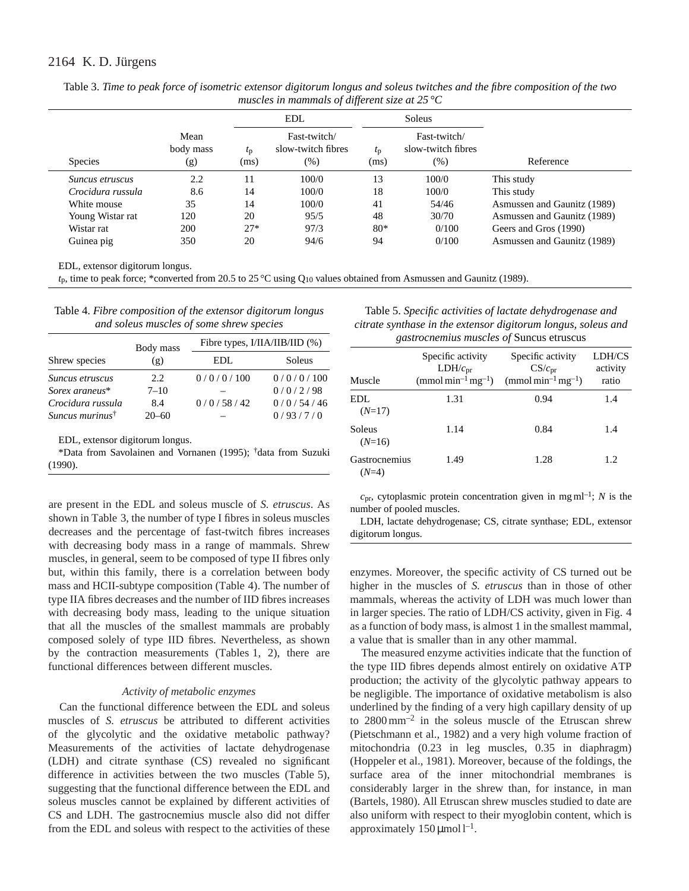# 2164 K. D. Jürgens

|                        |                          |                     | EDL.                                       | Soleus              |                                              |                             |
|------------------------|--------------------------|---------------------|--------------------------------------------|---------------------|----------------------------------------------|-----------------------------|
| <b>Species</b>         | Mean<br>body mass<br>(g) | $t_{\rm D}$<br>(ms) | Fast-twitch/<br>slow-twitch fibres<br>(% ) | $t_{\rm p}$<br>(ms) | Fast-twitch/<br>slow-twitch fibres<br>$(\%)$ | Reference                   |
| <i>Suncus etruscus</i> | 2.2                      | 11                  | 100/0                                      | 13                  | 100/0                                        | This study                  |
| Crocidura russula      | 8.6                      | 14                  | 100/0                                      | 18                  | 100/0                                        | This study                  |
| White mouse            | 35                       | 14                  | 100/0                                      | 41                  | 54/46                                        | Asmussen and Gaunitz (1989) |
| Young Wistar rat       | 120                      | 20                  | 95/5                                       | 48                  | 30/70                                        | Asmussen and Gaunitz (1989) |
| Wistar rat             | 200                      | $27*$               | 97/3                                       | $80*$               | 0/100                                        | Geers and Gros (1990)       |
| Guinea pig             | 350                      | 20                  | 94/6                                       | 94                  | 0/100                                        | Asmussen and Gaunitz (1989) |

Table 3. *Time to peak force of isometric extensor digitorum longus and soleus twitches and the fibre composition of the two muscles in mammals of different size at 25 °C*

EDL, extensor digitorum longus.

*t*p, time to peak force; \*converted from 20.5 to 25 °C using Q10 values obtained from Asmussen and Gaunitz (1989).

Table 4. *Fibre composition of the extensor digitorum longus and soleus muscles of some shrew species*

|                             | Body mass | Fibre types, $I/IIA/IIB/IID$ (%) |           |  |
|-----------------------------|-----------|----------------------------------|-----------|--|
| Shrew species               | (g)       | EDL                              | Soleus    |  |
| Suncus etruscus             | 2.2.      | 0/0/0/100                        | 0/0/0/100 |  |
| Sorex araneus*              | $7 - 10$  |                                  | 0/0/2/98  |  |
| Crocidura russula           | 8.4       | 0/0/58/42                        | 0/0/54/46 |  |
| Suncus murinus <sup>†</sup> | $20 - 60$ |                                  | 0/93/7/0  |  |

EDL, extensor digitorum longus.

\*Data from Savolainen and Vornanen (1995); †data from Suzuki (1990).

are present in the EDL and soleus muscle of *S. etruscus*. As shown in Table 3, the number of type I fibres in soleus muscles decreases and the percentage of fast-twitch fibres increases with decreasing body mass in a range of mammals. Shrew muscles, in general, seem to be composed of type II fibres only but, within this family, there is a correlation between body mass and HCII-subtype composition (Table 4). The number of type IIA fibres decreases and the number of IID fibres increases with decreasing body mass, leading to the unique situation that all the muscles of the smallest mammals are probably composed solely of type IID fibres. Nevertheless, as shown by the contraction measurements (Tables 1, 2), there are functional differences between different muscles.

## *Activity of metabolic enzymes*

Can the functional difference between the EDL and soleus muscles of *S. etruscus* be attributed to different activities of the glycolytic and the oxidative metabolic pathway? Measurements of the activities of lactate dehydrogenase (LDH) and citrate synthase (CS) revealed no significant difference in activities between the two muscles (Table 5), suggesting that the functional difference between the EDL and soleus muscles cannot be explained by different activities of CS and LDH. The gastrocnemius muscle also did not differ from the EDL and soleus with respect to the activities of these

Table 5. *Specific activities of lactate dehydrogenase and citrate synthase in the extensor digitorum longus, soleus and gastrocnemius muscles of* Suncus etruscus

|                          | Specific activity<br>$LDH/c_{pr}$       | Specific activity<br>$CS/c_{\rm pr}$    | LDH/CS<br>activity |
|--------------------------|-----------------------------------------|-----------------------------------------|--------------------|
| Muscle                   | $\text{(mmol min}^{-1} \text{mg}^{-1})$ | $\text{(mmol min}^{-1} \text{mg}^{-1})$ | ratio              |
| EDL.<br>$(N=17)$         | 1.31                                    | 0.94                                    | 1.4                |
| Soleus<br>$(N=16)$       | 1.14                                    | 0.84                                    | 1.4                |
| Gastrocnemius<br>$(N=4)$ | 1.49                                    | 1.28                                    | 1.2                |

 $c_{pr}$ , cytoplasmic protein concentration given in mg ml<sup>-1</sup>; *N* is the number of pooled muscles.

LDH, lactate dehydrogenase; CS, citrate synthase; EDL, extensor digitorum longus.

enzymes. Moreover, the specific activity of CS turned out be higher in the muscles of *S. etruscus* than in those of other mammals, whereas the activity of LDH was much lower than in larger species. The ratio of LDH/CS activity, given in Fig. 4 as a function of body mass, is almost 1 in the smallest mammal, a value that is smaller than in any other mammal.

The measured enzyme activities indicate that the function of the type IID fibres depends almost entirely on oxidative ATP production; the activity of the glycolytic pathway appears to be negligible. The importance of oxidative metabolism is also underlined by the finding of a very high capillary density of up to 2800 mm–2 in the soleus muscle of the Etruscan shrew (Pietschmann et al., 1982) and a very high volume fraction of mitochondria (0.23 in leg muscles, 0.35 in diaphragm) (Hoppeler et al., 1981). Moreover, because of the foldings, the surface area of the inner mitochondrial membranes is considerably larger in the shrew than, for instance, in man (Bartels, 1980). All Etruscan shrew muscles studied to date are also uniform with respect to their myoglobin content, which is approximately  $150 \,\mu\text{mol} \,l^{-1}$ .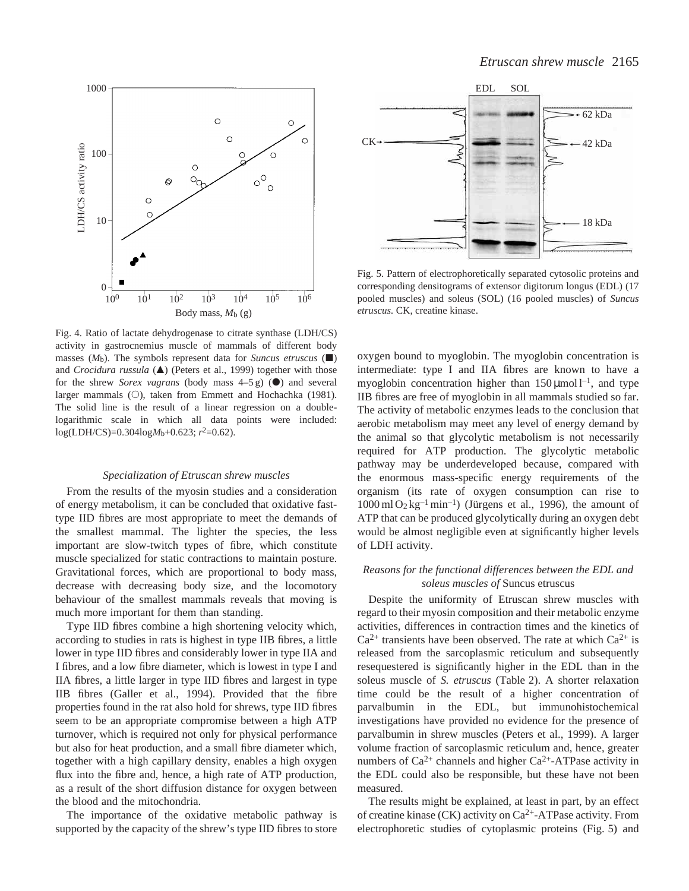



Fig. 5. Pattern of electrophoretically separated cytosolic proteins and corresponding densitograms of extensor digitorum longus (EDL) (17 pooled muscles) and soleus (SOL) (16 pooled muscles) of *Suncus etruscus.* CK, creatine kinase.

Fig. 4. Ratio of lactate dehydrogenase to citrate synthase (LDH/CS) activity in gastrocnemius muscle of mammals of different body masses  $(M_b)$ . The symbols represent data for *Suncus etruscus* ( $\blacksquare$ ) and *Crocidura russula* (A) (Peters et al., 1999) together with those for the shrew *Sorex vagrans* (body mass  $4-5$  g) ( $\bullet$ ) and several larger mammals  $(O)$ , taken from Emmett and Hochachka (1981). The solid line is the result of a linear regression on a doublelogarithmic scale in which all data points were included: log(LDH/CS)=0.304log*M*b+0.623; *r*2=0.62).

### *Specialization of Etruscan shrew muscles*

From the results of the myosin studies and a consideration of energy metabolism, it can be concluded that oxidative fasttype IID fibres are most appropriate to meet the demands of the smallest mammal. The lighter the species, the less important are slow-twitch types of fibre, which constitute muscle specialized for static contractions to maintain posture. Gravitational forces, which are proportional to body mass, decrease with decreasing body size, and the locomotory behaviour of the smallest mammals reveals that moving is much more important for them than standing.

Type IID fibres combine a high shortening velocity which, according to studies in rats is highest in type IIB fibres, a little lower in type IID fibres and considerably lower in type IIA and I fibres, and a low fibre diameter, which is lowest in type I and IIA fibres, a little larger in type IID fibres and largest in type IIB fibres (Galler et al., 1994). Provided that the fibre properties found in the rat also hold for shrews, type IID fibres seem to be an appropriate compromise between a high ATP turnover, which is required not only for physical performance but also for heat production, and a small fibre diameter which, together with a high capillary density, enables a high oxygen flux into the fibre and, hence, a high rate of ATP production, as a result of the short diffusion distance for oxygen between the blood and the mitochondria.

The importance of the oxidative metabolic pathway is supported by the capacity of the shrew's type IID fibres to store

oxygen bound to myoglobin. The myoglobin concentration is intermediate: type I and IIA fibres are known to have a myoglobin concentration higher than  $150 \,\mu\text{mol}^{-1}$ , and type IIB fibres are free of myoglobin in all mammals studied so far. The activity of metabolic enzymes leads to the conclusion that aerobic metabolism may meet any level of energy demand by the animal so that glycolytic metabolism is not necessarily required for ATP production. The glycolytic metabolic pathway may be underdeveloped because, compared with the enormous mass-specific energy requirements of the organism (its rate of oxygen consumption can rise to  $1000 \text{ ml } O_2 \text{ kg}^{-1} \text{ min}^{-1}$ ) (Jürgens et al., 1996), the amount of ATP that can be produced glycolytically during an oxygen debt would be almost negligible even at significantly higher levels of LDH activity.

# *Reasons for the functional differences between the EDL and soleus muscles of* Suncus etruscus

Despite the uniformity of Etruscan shrew muscles with regard to their myosin composition and their metabolic enzyme activities, differences in contraction times and the kinetics of  $Ca^{2+}$  transients have been observed. The rate at which  $Ca^{2+}$  is released from the sarcoplasmic reticulum and subsequently resequestered is significantly higher in the EDL than in the soleus muscle of *S. etruscus* (Table 2). A shorter relaxation time could be the result of a higher concentration of parvalbumin in the EDL, but immunohistochemical investigations have provided no evidence for the presence of parvalbumin in shrew muscles (Peters et al., 1999). A larger volume fraction of sarcoplasmic reticulum and, hence, greater numbers of  $Ca^{2+}$  channels and higher  $Ca^{2+}-ATP$ ase activity in the EDL could also be responsible, but these have not been measured.

The results might be explained, at least in part, by an effect of creatine kinase (CK) activity on Ca<sup>2+</sup>-ATPase activity. From electrophoretic studies of cytoplasmic proteins (Fig. 5) and